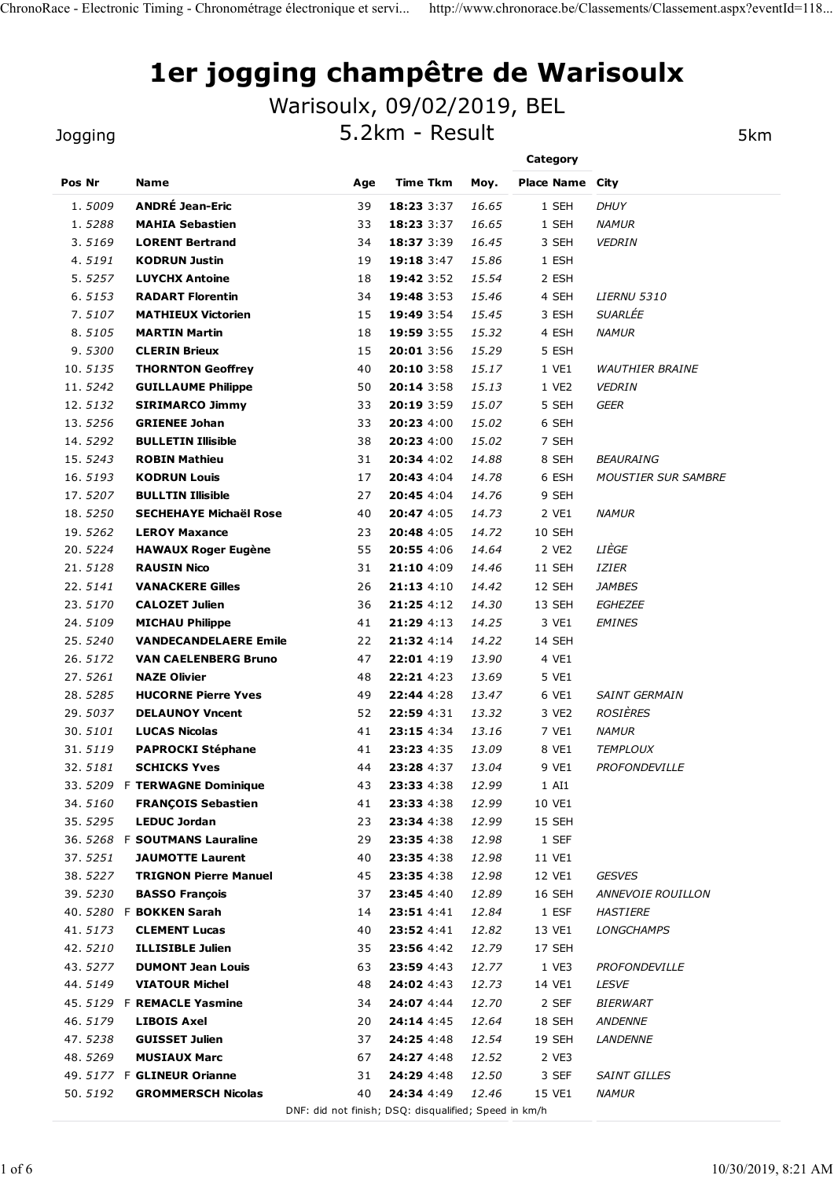# 1er jogging champêtre de Warisoulx ChronoRace - Electronic Timing - Chronométrage électronique et servi... http://www.chronorace.be/Classement.aspx?eventId=118...<br>1er jogging champêtre de Warisoulx

#### Jogging

|                    |                                                         |                            |                                   |                                                       |                        | 1er jogging champêtre de Warisoulx |
|--------------------|---------------------------------------------------------|----------------------------|-----------------------------------|-------------------------------------------------------|------------------------|------------------------------------|
|                    |                                                         | Warisoulx, 09/02/2019, BEL | 5.2km - Result                    |                                                       |                        | 5km                                |
| Jogging            |                                                         |                            |                                   |                                                       | Category               |                                    |
| Pos Nr             | <b>Name</b>                                             | Age                        | <b>Time Tkm</b>                   | Moy.                                                  | <b>Place Name City</b> |                                    |
| 1.5009             | <b>ANDRÉ Jean-Eric</b>                                  | 39                         | 18:23 3:37                        | 16.65                                                 | 1 SEH                  | <b>DHUY</b>                        |
| 1.5288             | <b>MAHIA Sebastien</b>                                  | 33                         | 18:23 3:37                        | 16.65                                                 | 1 SEH                  | <b>NAMUR</b>                       |
| 3.5169             | <b>LORENT Bertrand</b>                                  | 34                         | 18:37 3:39                        | 16.45                                                 | 3 SEH                  | <b>VEDRIN</b>                      |
| 4.5191             | <b>KODRUN Justin</b>                                    | 19                         | 19:18 3:47                        | 15.86                                                 | 1 ESH                  |                                    |
| 5.5257             | <b>LUYCHX Antoine</b>                                   | 18                         | 19:42 3:52                        | 15.54                                                 | 2 ESH                  |                                    |
| 6.5153             | <b>RADART Florentin</b>                                 | 34                         | 19:48 3:53                        | 15.46                                                 | 4 SEH                  | <b>LIERNU 5310</b>                 |
| 7.5107             | <b>MATHIEUX Victorien</b>                               | 15                         | 19:49 3:54                        | 15.45                                                 | 3 ESH                  | SUARLÉE                            |
| 8.5105<br>9.5300   | <b>MARTIN Martin</b><br><b>CLERIN Brieux</b>            | 18                         | 19:59 3:55<br>20:01 3:56          | 15.32                                                 | 4 ESH<br>5 ESH         | <b>NAMUR</b>                       |
| 10.5135            | <b>THORNTON Geoffrey</b>                                | 15<br>40                   | 20:10 3:58                        | 15.29<br>15.17                                        | 1 VE1                  | <b>WAUTHIER BRAINE</b>             |
| 11.5242            | <b>GUILLAUME Philippe</b>                               | 50                         | 20:14 3:58                        | 15.13                                                 | 1 VE2                  | <b>VEDRIN</b>                      |
| 12.5132            | <b>SIRIMARCO Jimmy</b>                                  | 33                         | 20:19 3:59                        | 15.07                                                 | 5 SEH                  | <b>GEER</b>                        |
| 13.5256            | <b>GRIENEE Johan</b>                                    | 33                         | 20:23 4:00                        | 15.02                                                 | 6 SEH                  |                                    |
| 14.5292            | <b>BULLETIN Illisible</b>                               | 38                         | 20:23 4:00                        | 15.02                                                 | 7 SEH                  |                                    |
| 15.5243            | <b>ROBIN Mathieu</b>                                    | 31                         | 20:34 4:02                        | 14.88                                                 | 8 SEH                  | <b>BEAURAING</b>                   |
| 16.5193            | <b>KODRUN Louis</b>                                     | 17                         | 20:43 4:04                        | 14.78                                                 | 6 ESH                  | <b>MOUSTIER SUR SAMBRE</b>         |
| 17.5207<br>18.5250 | <b>BULLTIN Illisible</b><br>SECHEHAYE Michaël Rose      | 27<br>40                   | 20:45 4:04<br>20:47 4:05          | 14.76<br>14.73                                        | 9 SEH<br>2 VE1         | <b>NAMUR</b>                       |
| 19.5262            | <b>LEROY Maxance</b>                                    | 23                         | 20:48 4:05                        | 14.72                                                 | 10 SEH                 |                                    |
| 20.5224            | <b>HAWAUX Roger Eugène</b>                              | 55                         | 20:55 4:06                        | 14.64                                                 | 2 VE2                  | LIÈGE                              |
| 21.5128            | <b>RAUSIN Nico</b>                                      | 31                         | 21:10 4:09                        | 14.46                                                 | 11 SEH                 | IZIER                              |
| 22.5141            | <b>VANACKERE Gilles</b>                                 | 26                         | 21:13 4:10                        | 14.42                                                 | 12 SEH                 | <b>JAMBES</b>                      |
| 23.5170            | <b>CALOZET Julien</b>                                   | 36                         | 21:25 4:12                        | 14.30                                                 | 13 SEH                 | <b>EGHEZEE</b>                     |
| 24.5109            | <b>MICHAU Philippe</b>                                  | 41                         | 21:29 4:13                        | 14.25                                                 | 3 VE1                  | <b>EMINES</b>                      |
| 25.5240            | <b>VANDECANDELAERE Emile</b>                            | 22                         | 21:32 4:14                        | 14.22                                                 | 14 SEH                 |                                    |
| 26.5172            | <b>VAN CAELENBERG Bruno</b>                             | 47                         | 22:01 4:19                        | 13.90                                                 | 4 VE1                  |                                    |
| 27.5261<br>28.5285 | <b>NAZE Olivier</b><br><b>HUCORNE Pierre Yves</b>       | 48<br>49                   | 22:21 4:23<br>22:44 4:28          | 13.69<br>13.47                                        | 5 VE1<br>6 VE1         | SAINT GERMAIN                      |
| 29.5037            | <b>DELAUNOY Vncent</b>                                  | 52                         | 22:59 4:31                        | 13.32                                                 | 3 VE2                  | ROSIÈRES                           |
| 30.5101            | <b>LUCAS Nicolas</b>                                    | 41                         | 23:15 4:34                        | 13.16                                                 | 7 VE1                  | <b>NAMUR</b>                       |
| 31.5119            | <b>PAPROCKI Stéphane</b>                                | 41                         | 23:23 4:35                        | 13.09                                                 | 8 VE1                  | <b>TEMPLOUX</b>                    |
| 32.5181            | <b>SCHICKS Yves</b>                                     | 44                         | 23:28 4:37                        | 13.04                                                 | 9 VE1                  | <b>PROFONDEVILLE</b>               |
| 33.5209            | <b>F TERWAGNE Dominique</b>                             | 43                         | 23:33 4:38                        | 12.99                                                 | 1 AI1                  |                                    |
| 34.5160            | <b>FRANÇOIS Sebastien</b>                               | 41                         | 23:33 4:38                        | 12.99                                                 | 10 VE1                 |                                    |
| 35.5295            | <b>LEDUC Jordan</b>                                     | 23                         | 23:34 4:38                        | 12.99                                                 | 15 SEH                 |                                    |
| 36.5268            | <b>F SOUTMANS Lauraline</b>                             | 29                         | 23:35 4:38                        | 12.98                                                 | 1 SEF                  |                                    |
| 37.5251<br>38.5227 | <b>JAUMOTTE Laurent</b><br><b>TRIGNON Pierre Manuel</b> | 40<br>45                   | 23:35 4:38<br>23:35 4:38          | 12.98<br>12.98                                        | 11 VE1<br>12 VE1       | <b>GESVES</b>                      |
| 39.5230            | <b>BASSO François</b>                                   | 37                         | 23:45 4:40                        | 12.89                                                 | 16 SEH                 | <b>ANNEVOIE ROUILLON</b>           |
| 40.5280            | <b>F BOKKEN Sarah</b>                                   | 14                         | 23:51 4:41                        | 12.84                                                 | 1 ESF                  | <b>HASTIERE</b>                    |
| 41.5173            | <b>CLEMENT Lucas</b>                                    | 40                         | 23:52 4:41                        | 12.82                                                 | 13 VE1                 | <b>LONGCHAMPS</b>                  |
| 42.5210            | <b>ILLISIBLE Julien</b>                                 | 35                         | 23:56 4:42                        | 12.79                                                 | 17 SEH                 |                                    |
| 43.5277            | <b>DUMONT Jean Louis</b>                                | 63                         | 23:59 4:43                        | 12.77                                                 | 1 VE3                  | PROFONDEVILLE                      |
| 44.5149            | <b>VIATOUR Michel</b>                                   | 48                         | 24:02 4:43                        | 12.73                                                 | 14 VE1                 | LESVE                              |
| 45.5129            | <b>F REMACLE Yasmine</b>                                | 34                         | 24:07 4:44                        | 12.70                                                 | 2 SEF                  | <b>BIERWART</b>                    |
| 46.5179            | <b>LIBOIS Axel</b>                                      | 20                         | 24:14 4:45                        | 12.64                                                 | 18 SEH                 | <b>ANDENNE</b>                     |
| 47.5238            | <b>GUISSET Julien</b>                                   | 37                         | 24:25 4:48                        | 12.54                                                 | 19 SEH                 | <b>LANDENNE</b>                    |
| 48.5269            | <b>MUSIAUX Marc</b><br>49. 5177 F GLINEUR Orianne       | 67                         | 24:27 4:48<br>31 24:29 4:48 12.50 | 12.52                                                 | 2 VE3<br>3 SEF         | <b>SAINT GILLES</b>                |
| 50.5192            | <b>GROMMERSCH Nicolas</b>                               | 40                         | 24:34 4:49 12.46                  |                                                       | 15 VE1                 | <b>NAMUR</b>                       |
|                    |                                                         |                            |                                   | DNF: did not finish; DSQ: disqualified; Speed in km/h |                        |                                    |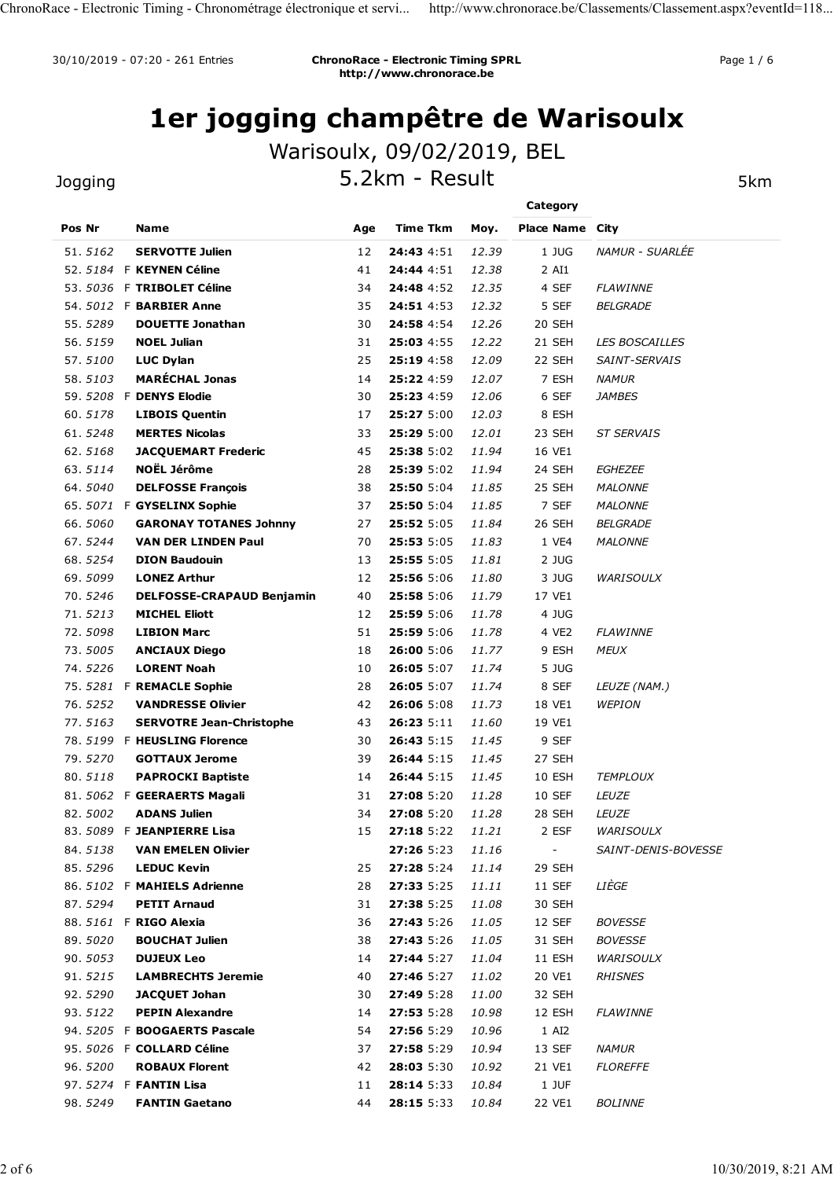## 1er jogging champêtre de Warisoulx

#### **Jogging**

|                    |                                                                 |          | http://www.chronorace.be   | <b>ChronoRace - Electronic Timing SPRL</b> |                                    |                       |
|--------------------|-----------------------------------------------------------------|----------|----------------------------|--------------------------------------------|------------------------------------|-----------------------|
|                    | 1er jogging champêtre de Warisoulx                              |          |                            |                                            |                                    |                       |
|                    |                                                                 |          | Warisoulx, 09/02/2019, BEL |                                            |                                    |                       |
| Jogging            |                                                                 |          | 5.2km - Result             |                                            |                                    | 5km                   |
| Pos Nr             | Name                                                            | Age      | <b>Time Tkm</b>            | Moy.                                       | Category<br><b>Place Name City</b> |                       |
| 51.5162            | <b>SERVOTTE Julien</b>                                          | 12       | 24:43 4:51                 | 12.39                                      | 1 JUG                              | NAMUR - SUARLÉE       |
|                    | 52. 5184 F KEYNEN Céline                                        | 41       | 24:44 4:51                 | 12.38                                      | 2 AI1                              |                       |
|                    | 53. 5036 F TRIBOLET Céline                                      | 34       | 24:48 4:52                 | 12.35                                      | 4 SEF                              | <b>FLAWINNE</b>       |
|                    | 54. 5012 F <b>BARBIER Anne</b>                                  | 35       | 24:51 4:53                 | 12.32                                      | 5 SEF                              | <b>BELGRADE</b>       |
| 55.5289<br>56.5159 | <b>DOUETTE Jonathan</b><br><b>NOEL Julian</b>                   | 30       | 24:58 4:54<br>25:03 4:55   | 12.26<br>12.22                             | 20 SEH<br>21 SEH                   | <b>LES BOSCAILLES</b> |
| 57.5100            | <b>LUC Dylan</b>                                                | 31<br>25 | 25:19 4:58                 | 12.09                                      | 22 SEH                             | SAINT-SERVAIS         |
| 58.5103            | <b>MARÉCHAL Jonas</b>                                           | 14       | 25:22 4:59                 | 12.07                                      | 7 ESH                              | <b>NAMUR</b>          |
|                    | 59. 5208 F DENYS Elodie                                         | 30       | 25:23 4:59                 | 12.06                                      | 6 SEF                              | <b>JAMBES</b>         |
| 60.5178            | <b>LIBOIS Quentin</b>                                           | 17       | 25:27 5:00                 | 12.03                                      | 8 ESH                              |                       |
| 61.5248            | <b>MERTES Nicolas</b>                                           | 33       | 25:29 5:00                 | 12.01                                      | 23 SEH                             | <b>ST SERVAIS</b>     |
| 62.5168<br>63.5114 | <b>JACQUEMART Frederic</b><br><b>NOËL Jérôme</b>                | 45<br>28 | 25:38 5:02<br>25:39 5:02   | 11.94<br>11.94                             | 16 VE1<br>24 SEH                   | <b>EGHEZEE</b>        |
| 64.5040            | <b>DELFOSSE François</b>                                        | 38       | 25:50 5:04                 | 11.85                                      | 25 SEH                             | <b>MALONNE</b>        |
| 65.5071            | F GYSELINX Sophie                                               | 37       | 25:50 5:04                 | 11.85                                      | 7 SEF                              | <b>MALONNE</b>        |
| 66.5060            | <b>GARONAY TOTANES Johnny</b>                                   | 27       | 25:52 5:05                 | 11.84                                      | 26 SEH                             | <b>BELGRADE</b>       |
| 67.5244            | <b>VAN DER LINDEN Paul</b>                                      | 70       | 25:53 5:05                 | 11.83                                      | 1 VE4                              | <b>MALONNE</b>        |
| 68.5254            | <b>DION Baudouin</b>                                            | 13       | 25:55 5:05                 | 11.81                                      | 2 JUG                              |                       |
| 69.5099<br>70.5246 | <b>LONEZ Arthur</b>                                             | 12       | 25:56 5:06<br>25:58 5:06   | 11.80                                      | 3 JUG<br>17 VE1                    | <b>WARISOULX</b>      |
| 71.5213            | <b>DELFOSSE-CRAPAUD Benjamin</b><br><b>MICHEL Eliott</b>        | 40<br>12 | 25:59 5:06                 | 11.79<br>11.78                             | 4 JUG                              |                       |
| 72.5098            | <b>LIBION Marc</b>                                              | 51       | 25:59 5:06                 | 11.78                                      | 4 VE2                              | <b>FLAWINNE</b>       |
| 73.5005            | <b>ANCIAUX Diego</b>                                            | 18       | 26:00 5:06                 | 11.77                                      | 9 ESH                              | <b>MEUX</b>           |
| 74.5226            | <b>LORENT Noah</b>                                              | 10       | 26:05 5:07                 | 11.74                                      | 5 JUG                              |                       |
| 75.5281            | F REMACLE Sophie                                                | 28       | 26:05 5:07                 | 11.74                                      | 8 SEF                              | LEUZE (NAM.)          |
| 76.5252            | <b>VANDRESSE Olivier</b>                                        | 42       | 26:06 5:08                 | 11.73                                      | 18 VE1                             | <b>WEPION</b>         |
| 77.5163            | <b>SERVOTRE Jean-Christophe</b><br>78. 5199 F HEUSLING Florence | 43<br>30 | 26:23 5:11<br>26:43 5:15   | 11.60<br>11.45                             | 19 VE1<br>9 SEF                    |                       |
| 79.5270            | <b>GOTTAUX Jerome</b>                                           | 39       | 26:44 5:15                 | 11.45                                      | 27 SEH                             |                       |
| 80.5118            | <b>PAPROCKI Baptiste</b>                                        | 14       | 26:44 5:15                 | 11.45                                      | 10 ESH                             | <b>TEMPLOUX</b>       |
|                    | 81. 5062 F GEERAERTS Magali                                     | 31       | 27:08 5:20                 | 11.28                                      | 10 SEF                             | LEUZE                 |
| 82.5002            | <b>ADANS Julien</b>                                             | 34       | 27:08 5:20                 | 11.28                                      | 28 SEH                             | LEUZE                 |
|                    | 83. 5089 F JEANPIERRE Lisa                                      | 15       | 27:18 5:22                 | 11.21                                      | 2 ESF                              | <b>WARISOULX</b>      |
| 84.5138<br>85.5296 | <b>VAN EMELEN Olivier</b><br><b>LEDUC Kevin</b>                 | 25       | 27:26 5:23<br>27:28 5:24   | 11.16                                      | $\sim$<br>29 SEH                   | SAINT-DENIS-BOVESSE   |
|                    | 86. 5102 F MAHIELS Adrienne                                     | 28       | 27:33 5:25                 | 11.14<br>11.11                             | 11 SEF                             | LIÈGE                 |
| 87.5294            | <b>PETIT Arnaud</b>                                             | 31       | 27:38 5:25                 | 11.08                                      | 30 SEH                             |                       |
|                    | 88. 5161 F RIGO Alexia                                          | 36       | 27:43 5:26                 | 11.05                                      | 12 SEF                             | <b>BOVESSE</b>        |
| 89.5020            | <b>BOUCHAT Julien</b>                                           | 38       | 27:43 5:26                 | 11.05                                      | 31 SEH                             | <b>BOVESSE</b>        |
| 90.5053            | <b>DUJEUX Leo</b>                                               | 14       | 27:44 5:27                 | 11.04                                      | 11 ESH                             | <b>WARISOULX</b>      |
| 91.5215            | <b>LAMBRECHTS Jeremie</b>                                       | 40       | 27:46 5:27                 | 11.02                                      | 20 VE1                             | <b>RHISNES</b>        |
| 92.5290<br>93.5122 | <b>JACQUET Johan</b><br><b>PEPIN Alexandre</b>                  | 30<br>14 | 27:49 5:28<br>27:53 5:28   | <i>11.00</i><br>10.98                      | 32 SEH<br>12 ESH                   | <b>FLAWINNE</b>       |
|                    | 94. 5205 F BOOGAERTS Pascale                                    | 54       | 27:56 5:29                 | 10.96                                      | 1 AI2                              |                       |
|                    | 95. 5026 F COLLARD Céline                                       | 37       | 27:58 5:29                 | 10.94                                      | 13 SEF                             | <b>NAMUR</b>          |
| 96.5200            | <b>ROBAUX Florent</b>                                           | 42       | 28:03 5:30                 | 10.92                                      | 21 VE1                             | <b>FLOREFFE</b>       |
|                    | 97. 5274 F FANTIN Lisa                                          | 11       | 28:14 5:33                 | 10.84                                      | 1 JUF                              |                       |
| 98.5249            | <b>FANTIN Gaetano</b>                                           | 44       | 28:15 5:33                 | 10.84                                      | 22 VE1                             | <b>BOLINNE</b>        |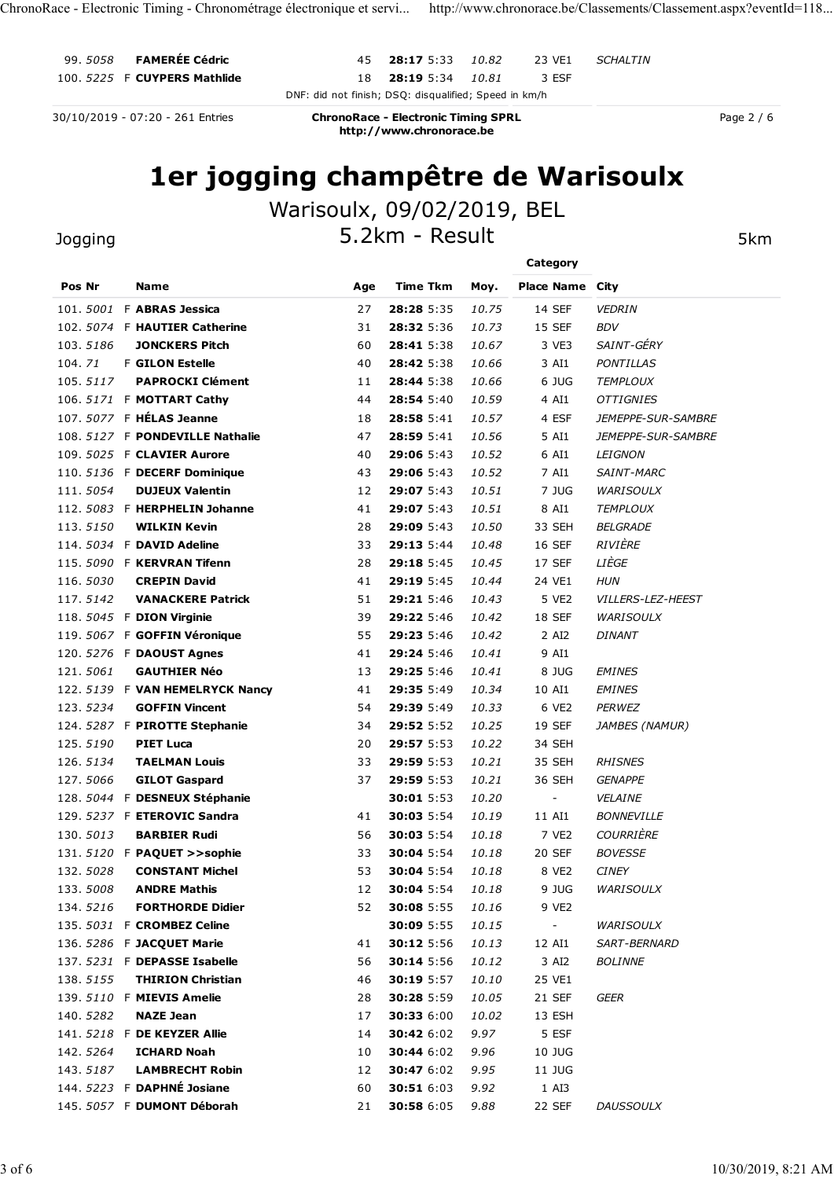## 1er jogging champêtre de Warisoulx

|                      | 30/10/2019 - 07:20 - 261 Entries                          |                            | DNF: did not finish; DSQ: disqualified; Speed in km/h                  | 10.81                 | 3 ESF                  |                                     |            |
|----------------------|-----------------------------------------------------------|----------------------------|------------------------------------------------------------------------|-----------------------|------------------------|-------------------------------------|------------|
|                      |                                                           |                            | <b>ChronoRace - Electronic Timing SPRL</b><br>http://www.chronorace.be |                       |                        |                                     | Page 2 / 6 |
|                      | 1er jogging champêtre de Warisoulx                        |                            |                                                                        |                       |                        |                                     |            |
|                      |                                                           | Warisoulx, 09/02/2019, BEL |                                                                        |                       |                        |                                     |            |
| Jogging              |                                                           |                            | 5.2km - Result                                                         |                       |                        |                                     | 5km        |
|                      |                                                           |                            |                                                                        |                       |                        |                                     |            |
| Pos Nr               | Name                                                      | Age                        | Time Tkm                                                               | Moy.                  | <b>Place Name City</b> |                                     |            |
| 101.5001             | F ABRAS Jessica                                           | 27                         | 28:28 5:35                                                             | 10.75                 | 14 SEF                 | <b>VEDRIN</b>                       |            |
|                      | 102. 5074 F HAUTIER Catherine                             | 31                         | 28:32 5:36                                                             | 10.73                 | 15 SEF                 | <b>BDV</b>                          |            |
| 103.5186             | <b>JONCKERS Pitch</b>                                     | 60                         | 28:41 5:38                                                             | 10.67                 | 3 VE3                  | SAINT-GÉRY                          |            |
| 104.71               | <b>F GILON Estelle</b>                                    | 40                         | 28:42 5:38                                                             | 10.66                 | 3 AI1                  | <b>PONTILLAS</b>                    |            |
| 105.5117             | <b>PAPROCKI Clément</b><br>106. 5171 F MOTTART Cathy      | 11<br>44                   | 28:44 5:38<br>28:54 5:40                                               | 10.66<br>10.59        | 6 JUG<br>4 AI1         | <b>TEMPLOUX</b><br><b>OTTIGNIES</b> |            |
|                      | 107. 5077 F HÉLAS Jeanne                                  | 18                         | 28:58 5:41                                                             | 10.57                 | 4 ESF                  | JEMEPPE-SUR-SAMBRE                  |            |
|                      | 108. 5127 F PONDEVILLE Nathalie                           | 47                         | 28:59 5:41                                                             | 10.56                 | 5 AI1                  | JEMEPPE-SUR-SAMBRE                  |            |
|                      | 109. 5025 F CLAVIER Aurore                                | 40                         | 29:06 5:43                                                             | 10.52                 | 6 AI1                  | <b>LEIGNON</b>                      |            |
|                      | 110. 5136 F DECERF Dominique                              | 43                         | 29:06 5:43                                                             | 10.52                 | 7 AI1                  | <b>SAINT-MARC</b>                   |            |
| 111.5054             | <b>DUJEUX Valentin</b>                                    | 12                         | 29:07 5:43                                                             | 10.51                 | 7 JUG                  | WARISOULX                           |            |
| 113.5150             | 112. 5083 F HERPHELIN Johanne<br><b>WILKIN Kevin</b>      | 41<br>28                   | 29:07 5:43<br><b>29:09 5:43</b>                                        | 10.51<br><i>10.50</i> | 8 AI1<br>33 SEH        | <b>TEMPLOUX</b><br><b>BELGRADE</b>  |            |
|                      | 114. 5034 F DAVID Adeline                                 | 33                         | 29:13 5:44                                                             | 10.48                 | 16 SEF                 | RIVIÈRE                             |            |
|                      | 115. 5090 F KERVRAN Tifenn                                | 28                         | 29:18 5:45                                                             | 10.45                 | 17 SEF                 | LIÈGE                               |            |
| 116.5030             | <b>CREPIN David</b>                                       | 41                         | 29:19 5:45                                                             | 10.44                 | 24 VE1                 | <b>HUN</b>                          |            |
| 117.5142             | <b>VANACKERE Patrick</b>                                  | 51                         | 29:21 5:46                                                             | 10.43                 | 5 VE2                  | <b>VILLERS-LEZ-HEEST</b>            |            |
|                      | 118. 5045 F DION Virginie<br>119. 5067 F GOFFIN Véronique | 39<br>55                   | 29:22 5:46<br>29:23 5:46                                               | 10.42<br>10.42        | 18 SEF<br>2 AI2        | <b>WARISOULX</b><br><b>DINANT</b>   |            |
|                      | 120. 5276 F DAOUST Agnes                                  | 41                         | 29:24 5:46                                                             | 10.41                 | 9 AI1                  |                                     |            |
| 121.5061             | <b>GAUTHIER Néo</b>                                       | 13                         | 29:25 5:46                                                             | 10.41                 | 8 JUG                  | <b>EMINES</b>                       |            |
|                      | 122. 5139 F VAN HEMELRYCK Nancy                           | 41                         | 29:35 5:49                                                             | 10.34                 | 10 AI1                 | <b>EMINES</b>                       |            |
| 123.5234             | <b>GOFFIN Vincent</b>                                     | 54                         | 29:39 5:49                                                             | 10.33                 | 6 VE2                  | <b>PERWEZ</b>                       |            |
|                      | 124. 5287 F PIROTTE Stephanie                             | 34                         | 29:52 5:52                                                             | 10.25                 | 19 SEF                 | JAMBES (NAMUR)                      |            |
| 125.5190<br>126.5134 | <b>PIET Luca</b><br><b>TAELMAN Louis</b>                  | 20<br>33                   | 29:57 5:53<br>29:59 5:53                                               | 10.22<br>10.21        | 34 SEH<br>35 SEH       | <b>RHISNES</b>                      |            |
| 127.5066             | <b>GILOT Gaspard</b>                                      | 37                         | 29:59 5:53                                                             | 10.21                 | 36 SEH                 | <b>GENAPPE</b>                      |            |
|                      | 128. 5044 F DESNEUX Stéphanie                             |                            | 30:01 5:53                                                             | 10.20                 | $\sim$                 | VELAINE                             |            |
|                      | 129. 5237 F ETEROVIC Sandra                               | 41                         | 30:03 5:54                                                             | 10.19                 | 11 AI1                 | <b>BONNEVILLE</b>                   |            |
| 130.5013             | <b>BARBIER Rudi</b>                                       | 56                         | 30:03 5:54                                                             | 10.18                 | 7 VE2                  | <b>COURRIÈRE</b>                    |            |
| 132.5028             | 131. 5120 F PAQUET >>sophie<br><b>CONSTANT Michel</b>     | 33<br>53                   | 30:04 5:54<br>30:04 5:54                                               | 10.18<br>10.18        | 20 SEF<br>8 VE2        | <b>BOVESSE</b><br><b>CINEY</b>      |            |
| 133.5008             | <b>ANDRE Mathis</b>                                       | 12                         | 30:04 5:54                                                             | 10.18                 | 9 JUG                  | <b>WARISOULX</b>                    |            |
| 134.5216             | <b>FORTHORDE Didier</b>                                   | 52                         | 30:08 5:55                                                             | 10.16                 | 9 VE2                  |                                     |            |
|                      | 135. 5031 F CROMBEZ Celine                                |                            | 30:09 5:55                                                             | 10.15                 | $\sim$                 | <b>WARISOULX</b>                    |            |
|                      | 136. 5286 F JACQUET Marie                                 | 41                         | 30:12 5:56                                                             | 10.13                 | 12 AI1                 | SART-BERNARD                        |            |
|                      | 137. 5231 F DEPASSE Isabelle                              | 56                         | 30:14 5:56                                                             | 10.12                 | 3 AI2                  | <b>BOLINNE</b>                      |            |
| 138.5155             | <b>THIRION Christian</b><br>139. 5110 F MIEVIS Amelie     | 46                         | 30:19 5:57<br>30:28 5:59                                               | <i>10.10</i><br>10.05 | 25 VE1<br>21 SEF       | GEER                                |            |
| 140.5282             | <b>NAZE Jean</b>                                          | 28<br>17                   | 30:33 6:00                                                             | 10.02                 | 13 ESH                 |                                     |            |
|                      | 141. 5218 F DE KEYZER Allie                               | 14                         | 30:42 6:02                                                             | 9.97                  | 5 ESF                  |                                     |            |
| 142.5264             | <b>ICHARD Noah</b>                                        | 10                         | 30:44 6:02                                                             | 9.96                  | 10 JUG                 |                                     |            |
| 143.5187             | <b>LAMBRECHT Robin</b>                                    | 12                         | 30:47 6:02                                                             | 9.95                  | 11 JUG                 |                                     |            |
|                      | 144. 5223 F DAPHNÉ Josiane                                | 60                         | 30:51 6:03                                                             | 9.92                  | 1 AI3                  |                                     |            |
|                      | 145. 5057 F DUMONT Déborah                                | 21                         | 30:58 6:05                                                             | 9.88                  | 22 SEF                 | <b>DAUSSOULX</b>                    |            |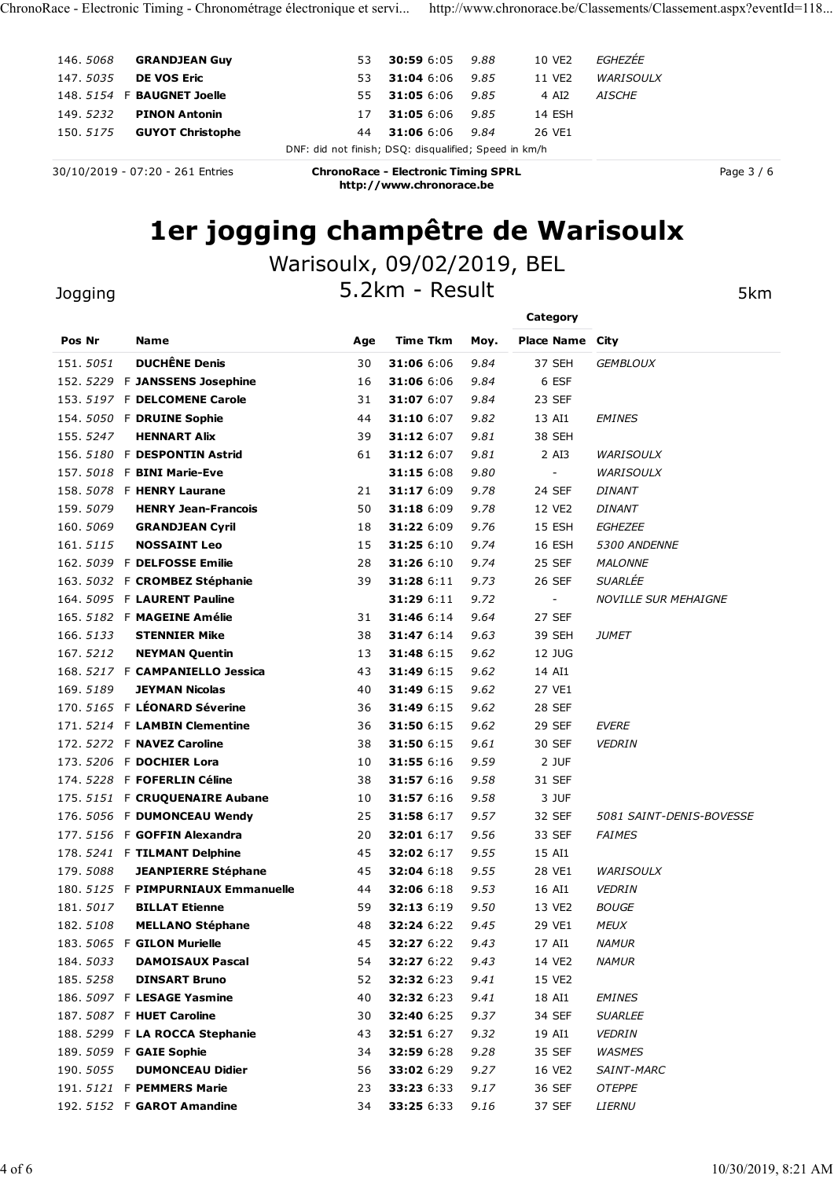| ChronoRace - Electronic Timing - Chronométrage électronique et servi http://www.chronorace.be/Classements/Classement.aspx?eventId=118 |                                                       |                                                                        |              |                        |                  |            |
|---------------------------------------------------------------------------------------------------------------------------------------|-------------------------------------------------------|------------------------------------------------------------------------|--------------|------------------------|------------------|------------|
| 146.5068<br><b>GRANDJEAN Guy</b>                                                                                                      | 53                                                    | <b>30:59 6:05</b>                                                      | 9.88         | 10 VE2                 | EGHEZÉE          |            |
| 147.5035<br><b>DE VOS Eric</b>                                                                                                        | 53                                                    | 31:04 6:06                                                             | 9.85         | 11 VE2                 | <b>WARISOULX</b> |            |
| 148. 5154 F BAUGNET Joelle                                                                                                            | 55                                                    | <b>31:05</b> 6:06 9.85                                                 |              | 4 AI2                  | <b>AISCHE</b>    |            |
| 149.5232<br><b>PINON Antonin</b>                                                                                                      | 17                                                    | <b>31:05</b> 6:06 9.85                                                 |              | 14 ESH                 |                  |            |
| 150.5175<br><b>GUYOT Christophe</b>                                                                                                   | 44                                                    | 31:06 6:06                                                             | 9.84         | 26 VE1                 |                  |            |
| 30/10/2019 - 07:20 - 261 Entries                                                                                                      | DNF: did not finish; DSQ: disqualified; Speed in km/h | <b>ChronoRace - Electronic Timing SPRL</b><br>http://www.chronorace.be |              |                        |                  | Page 3 / 6 |
|                                                                                                                                       |                                                       |                                                                        |              |                        |                  |            |
|                                                                                                                                       | 1er jogging champêtre de Warisoulx                    |                                                                        |              |                        |                  |            |
|                                                                                                                                       | Warisoulx, 09/02/2019, BEL                            |                                                                        |              |                        |                  |            |
| Jogging                                                                                                                               |                                                       | 5.2km - Result                                                         |              |                        |                  |            |
|                                                                                                                                       |                                                       |                                                                        |              | Category               |                  | 5km        |
| Pos Nr<br><b>Name</b>                                                                                                                 | Age                                                   | <b>Time Tkm</b>                                                        | Moy.         | <b>Place Name City</b> |                  |            |
| <b>DUCHÊNE Denis</b><br>151.5051                                                                                                      | 30                                                    | 31:06 6:06                                                             | 9.84         | 37 SEH                 | <b>GEMBLOUX</b>  |            |
| 152. 5229 F JANSSENS Josephine                                                                                                        | 16                                                    | 31:06 6:06                                                             | 9.84         | 6 ESF                  |                  |            |
| 153. 5197 F DELCOMENE Carole                                                                                                          | 31                                                    | 31:07 6:07                                                             | 9.84         | 23 SEF                 |                  |            |
| 154. 5050 F DRUINE Sophie                                                                                                             | 44                                                    | 31:10 6:07                                                             | 9.82         | 13 AI1                 | <b>EMINES</b>    |            |
| 155.5247<br><b>HENNART Alix</b><br>156. 5180 F DESPONTIN Astrid                                                                       | 39<br>61                                              | 31:12 6:07<br>31:12 6:07                                               | 9.81<br>9.81 | 38 SEH<br>2 AI3        | <b>WARISOULX</b> |            |

## 1er jogging champêtre de Warisoulx

#### Warisoulx, 09/02/2019, BEL

## 145. 5050 GRANDEAN Guy<br>
145. 5050 GRANDEAN Guy<br>
144. 5053 **B DRUGNET JOBNE**<br>
149. 5154 F BAUGINET JOBNE<br>
149. 5154 F DRUGNET JOBNE<br>
149. 5154 F DRUGNET JOBNE<br>
149. 5155 GUYOT Christophe<br>
149. 131:05 6:06 9.85 14 ESH<br>
151. 151. 5251 **DICHEN Den State Control 2011** 131.06 6:09 9.09 1 VE CHILE<br>147. 5035 **DEVOS EFC**<br>148. 5232 **PINON Antonin** 55 31:04 6:06 9.85 11 VEZ WARISOUX<br>159. 5275 **GUVOT Christophe** 55 31:04 6:06 9.84 26 VE1<br>159. 5275 **GUV** 156. 353. **ERAUGHET JOED INT** 31:05 6:06 9.85 21:06 6:06 9.85 21:06 5:06 9.85 21:06 5:07 9.81 2 AISCRE<br>148. 3523 **E RAUGHET JOED INT** 31:05 6:06 9.85 2 4 4 23:06<br>155. 3775 **GUVOT Christophe**<br>156. 3775 **GUVOT Christophe DNF** 147. 137. 1972 FINON RATCHING Den Browner Southern Artistics (1973)<br>147. 157. 5018 F BINI MARIE-EVE 3006 9.80 - 2012 14 ESH<br>157. 5175 GUYOT Christophe Den Artistics (1978)<br>167. 197. 197. 198. 198. 198. 198. 198. 198. 198. 158. 327 F ANNE CHENRY LAURANE SOLUTE 31:06 6:09 9.38 11:12 6:09 9.78 22 SEF DINANT DRIVE 201 31:18 6:09 9.78 24 35 36 159 7 P DELOWS TO CHENRY LANGT SOLUTE 31:02 24 SEF DINANT CHENRY LAURANE CHENRY LAURANE SOLUTE 31:022 P **159. 5079 SUCHEN DONE CONSULT CONSULT CONSULT CONSULT CONSULT CONSULT CONSULT CONSULT CONSULT CONSULT CONSULT CONSULT CONSULT CONSULT CONSULT CONSULT CONSULT CONSULT CONSULT CONSULT CONSULT CONSULT CONSULT CONSULT CONSUL** 16/10/2019 - 07:20 - 261 Entries<br>
ChronoRace - Electronic Timing SPRL<br> **161 JOGGING Champétre de Warisoulx**<br>
Warisoulx, 09/02/2019, BEL<br>
Dogging<br>
5. 2Xm - Result<br>
For Sex Manne<br>
Pos Nr<br>
Name Age Time Tkm May. Piace Name C 161. <sup>5115</sup> NOSSAINT Leo <sup>15</sup> 31:25 6:10 9.74 16 ESH 5300 ANDENNE 162. <sup>5039</sup> <sup>F</sup> DELFOSSE Emilie <sup>28</sup> 31:26 6:10 9.74 25 SEF MALONNE **1er jogging champêtre de Warisoulx**<br>
Marisoulx, 09/02/2019, BEL<br>
163. Sos Ne<br>
163. Sos Ne<br>
163. Sos Ne Name<br>
163. Sos New New Price New CROSE Stephanie<br>
163. Sos New York Carole<br>
163. Sos New York Carole<br>
163. Sos New Yo **1 CF JOGGING Champetre de Warisoulx**<br>
Dogging<br>
Pos Nr<br>
Pos Nr<br>
Pos Nr<br>
Pos Nr<br>
Pos Nr<br>
Pos Nr<br>
Pos Nr<br>
Pos Nr<br>
1968. 2022 Nr (2000)<br>
Pos Nr<br>
1968. 2022 F LANSENS Dosepher<br>
1968. 2022 F LAURENT Carole<br>
1968. 2022 F DONUNE 31.15.0009 F MATISOUIX, 09/02/2019, BEL<br>
165.5227 F ANNEW Dentis<br>
165.5282 F JANSENS Josephne<br>
165.5282 F JANSENS Josephne<br>
165.5282 F JANSENS Josephne<br>
167.5222 F JANSENS Josephne<br>
167.522 F JANSENS Josephne<br>
167.522 F JA VATISOUIX, UY/UZ/ZUIY, BEL<br>
166. Str. 2009 IN: A Section 1988 September 188 31:48 6:14 9.63 39 SEH SERVIEW CONSIDER THE SERVIE CONSIDERATION 1988 SEPT SAMES SERVIE TO SALE SAMES SERVIE TO SAME SAME AND CONSIDER THE SAME SA 1999119<br>
1999119 5.2 km – Result Skm – Category<br>
197. 5051 DUCHÈNE Denis<br>
157. 5051 DUCHÈNE Denis<br>
157. 5051 DUCHÈNE Denis<br>
157. 5057 P DELCOMENTE Caroline<br>
16 31:06 6:06 9.84 – 6 ESF<br>
157. 51:57 P DELCOMENTE Caroline<br>
16 261999119<br>
2618 Mm<br>
168. 5027 F DELCOMER Dennis<br>
153. 5229 F JANESENS Josephine<br>
163. 5129 F DELCOMENE Carole<br>
163. 5129 F DELCOMENE Carole<br>
163. 5129 F DELCOMENE Carole<br>
164. 511:05 6:05 9.84<br>
164. 511:05 6:05 9.84<br>
164 **Pos Nr Name**<br> **Pos Nr Name**<br>
151, 5051 **DUCHÊNE Denis**<br>
152, 5259 **F DANSERS Sosphine**<br>
159. 5229 **F DANSERS Sosphine**<br>
159. 5379 **F DRICONENE Carole**<br>
169. 5189. **F POS LOWENT Carole**<br>
159. 5347 **F RENCONENE Carole**<br>
169 **Pos Nr Name (Age Time Tism Moy, Place Name City<br>
151, 0551 <b>DUCHÉNE Denis** 30 31:06 6:06 9.84 5 FST<br>
152. 5129 **F DRICONENE Carele 31:31:06 6:06 9.84 6 FST<br>
153. 5167 F DRICONENE Carele 31:31:06 6:06 9.84 6 FST<br>
154. 5165** 151, 5051 **DUCHÈNE Denis**<br>
172. 5229 F JAMBISERIS JOsephene 16 31:006 6:00 9.84 37 SEH CEMELOUX<br>
153. 5197 F DELOMENE Carole<br>
154. 5050 F DESPONTIN Astrid 44 31:10 6:07 9.84 23 SEF<br>
154. 556. 5787 F DENUNG Sophine 44 31:10 152. 5229 F JANSSENS Josephhe 16 31:06 6:06 9.84 6 EST<br>
153. 5197 F DELCOMENT Caroline 31 31:07 6:07 9.84 23 53:54 HMMES<br>
155. 5247 HENNATY ARE 39 31:12 6:07 9.81 31:30 SEF EMINES<br>
155. 5270 HENNATY AREN' 33 31:12 6:07 9.8 153. 5197 F DELCOMENE Carole 31 31:07 6:07 9.84 23 SEF<br>154. 5050 F DRUINE SOPINE ALA and 31:00 7 9.82 13 ALI EMINES<br>155. 5180 F DESPONTIN ARTÁLE 4 31:10 6:07 9.81 31:32<br>155. 5180 F DESPONTIN ARTÁLE 6:1312.6:07 9.81 2 ALI E 154. 5050 F **DRUINE Sophie**<br>
174. 5252 F **HENNAT ARK**<br>
155. 5247 **HENNAT ARK**<br>
175. 5278 **HENNAT ARKEN (1948)**<br>
175. 5078 **F B FOR MAT ARKEN (1948)**<br>
175. 5078 **F RENAT Wallene Computer State 31:12 6:09** 9.78 31:12 6:16 9. 155. 5247 **HENNART AIIx**<br>
155. 5247 **HENNART AIK 39 31:12** 6:07 9.81 38 SEH<br>
157. 51018 **P EMENT Valuente**<br>
157. 5018 **P EMENT Valuente**<br>
157. 5078 **P EMENT Valuente**<br>
158. 5079 **F HENRY Valuente**<br>
158. 5079 **F CRUATRIZER** 156. 5180 **F DESPONTIN Astrid** 61 31:12.6:07 9.81 2 AIS WARISOULX<br>157. 5078 **F BINI Marine-Pixe** 31:13 5:08 9.80 - WARISOULX<br>158. 5078 **F HENRY Laurene** 32:13 1:13 6:09 9.78 12:02 *DUNNIT*<br>159. 5079 **ERRAND ESAINT Leo** 15 157. 5018 **F BINT Marie-Eve**<br>
158. 5079 **FIERRY LATERN CHEME 20 31:17** 5:08 9.80<br>
158. 5079 **FIERRY LATERN CYril 159. 31:22** 6:10 9.78<br>
159. 5079 **GRANDISAN Cyril 159. 31:22** 6:10 9.78<br>
16. 5157 **NOSSAINT Leo**<br>
16. 5157 **N** 158. 5078 **F HENRY Laurane**<br>
158. 5079 **ERANDYEam-Francois**<br>
150. 5069 **ERANDYEam-Francois**<br>
160. 5069 **ERANDYEAM Cyril**<br>
16. 5116 **NOSSAIRT Leo 15 31:22 6:09 9.76 11 SYES DIMANT<br>
160. 5099 <b>F DELPOSSE Emilie**<br>
163. 5023 159. 5079 **HENRY Jean-Francois**<br>
169. 5079 **GRAMDEAN Cyril 18** 31:22 6:19 9.78 1 15 151:1 6:06/EZ 16:06/<br>
161. 5115 **NOSSAINT Leo**<br>
16. 5115 **NOSSAINT Leo**<br>
16. 51317 **FORLFOSSE Emilie**<br>
163. 5027 **F CROMBEZ Stéphane**<br>
164 160. 5069 **GRANDJEAN Cyril**<br>
18 31:22 6:09 9.76<br>
16. 5115 **NOSSAINT Leo**<br>
16. 5023 **F CROMBER Sephanie**<br>
183 31:28 6:10 9.74 25 SEF MALOWER<br>
16. 5023 **F CROMBER Sephanie**<br>
185 5.522 **F MAGEINE Amélie**<br>
185 5.522 **F MAGEINE** 181. 5/15 **NOSSAINTLe.** 15 31:23 6:10 9.74 16 ESH 5300 ANDEWWE<br>162. 5039 **P CRUPOSE Emilie** 28 31:28 6:11 9.73 26 SEP MALOWWE<br>163. 9027 **P CRURENT Pauline** 39 31:28 6:11 9.73 26 SEP MALOWE<br>165. 9582 **F LAURENT Pauline** 31 182. 5039 **F DELFOSSE Emille 28 31:26** 6:10 9.74 25 SEF MALOWWE<br>163. 5023 **F CAOMBEZ Stephane 39 31:28 6:11** 9.73 26 SEF SUAMILE IN<br>165. 5108 **F LAURENT Pauline 48** 31:28 6:11 9.73 - 26 SEF SUAMILE SUR MEMICWE<br>165. 5183 **S** 163. 5032 F **CROMBEZ Stéphanie**<br>
164. 5093 **F LAURENT Pauline**<br>
165. 5182 F **LAURENT Pauline**<br>
165. 5182 F **MACEINE Amélie**<br>
165. 5182 F **MACEINE Amélie**<br>
165. 5182 **I STENNIELO Jessica**<br>
167. 5212 **I STENNIELO Jessica**<br>
1 184. 5095 FLAURENT Pauline<br>
185. 5122 P **EMAGERI Amélie**<br>
185. 5122 D **EMAGERI Amélie**<br>
186. 5133 **D STENNIER Mike**<br>
186. 5212 **N RYMAN Quentini**<br>
187. 5221 **P CAMPANNIELLO Jessica**<br>
189. 5212 **P CAMPANNIELLO Jessica**<br>
1 165. 5182 F **MAGETINE Amélie**<br>
185. 5182 **STENNILER Prise** 31 31:446 6:14 9.64 27 SEFI<br>
167. 5121 **STENNILER PRise 31 31:446 6:15 9.62** 31:91 UMF<br>
167. 5271 **FCAMPARTIELLO Jessica** 43 31:449 6:15 9.62 34:41 14<br>
168. 5271 166. 51337 **STEINMIER Mike**<br>
186. 5212 **NEWMAN Quentin**<br>
187. 5212 **NEWMAN Quentine 40 32:42 6:15 9.62** 12 10 UQ<br>
186. 5189 **JEWMAN Nicolassis**<br>
196. 5189 **JEWMAN Nicolassis**<br>
197. 57.65 **F LÉONARD Séverine** 40 **31.149 6:1** 187. 5212 **NEYMAN Quenth**<br>
187. 5212 **F CAMPANIELLO Jessica**<br>
198. 5217 **F CAMPANIELE JOSessica**<br>
198. 53:89 **JEWNAN Nicolass**<br>
197. 576 **F LÉONARD Séveries**<br>
170. 576 **F LÉONARD Séveries**<br>
170. 576 **F LÉONARD Séveries**<br>
1 168. 5217 F **CAMPANTELLO Jessica**<br>
168. 5389 **STEVMANN Nicels**<br>
169. 5189 **STEVMANN OSelective**<br>
170. 5165 **F LÉONARD Séverite**<br>
170. 5165 **F LÉONARD Séverite**<br>
172. 5274 **F LAMBIN Cliententies**<br>
173. 5206 **F DOCHIER Lora** 189. 5189 **JEYMAN Nicolas**<br>
189. 5189 **F LÉONARD Séverire**<br>
170. 5056 **F LÉONARD Séverire**<br>
171. 5224 **F LAMEIX Cleimentine**<br>
173. 5222 **F NAVEZ Caroline**<br>
173. 5205 **F DOCHIER Lone**<br>
174. 5228 **F DOCHIER Lone**<br>
174. 5228 170. 5165 F LÉONARD Séverine<br>
191. 5214 F LANBIN Cliententies<br>
191. 5214 F LANBIN Cliententies<br>
192. 5206 F DOCHIER Lors<br>
193. 5266 F DOCHIER Lors<br>
193. 506 F DOCHIER Lors<br>
194. 5228 F FORELLIN Céline<br>
194. 5228 F CRUQUENA 171. 5214 F LAMBITN Clementine<br>
172. 5272 F NAVEZ Caroline<br>
173. 5202 F NOVEMER Lens<br>
174. 5228 F FOCEMERIA Cosine<br>
174. 5228 F FOCEMERIA Cosine<br>
175. 5151 F CRUQUENAIRE Aubane<br>
175. 5151 F CRUQUENAIRE Aubane<br>
175. 5151 F 172. 5272 F NAVEZ Caroline<br>
173. 3266 F DOCHER LOW<br>
174. 5228 F FOCHERLIN Celine<br>
175. 5152 F GAROQUENAIRE Aubane<br>
175. 5152 F GAROQUENAIRE Aubane<br>
176. 5152 F GAROQUENAIRE Aubane<br>
176. 5152 F GAROT Alexandra 18 31:57 6:16 176, 5056 **F DUMONCEAU Wendy**<br>
176, 5056 **F DUMONCEAU Wendy**<br>
177, 516 **F GOFTR Alexandra**<br>
178, 5241 **F TILHVANT Delphine**<br>
179, 5088 **JEANPIERRE Stephane**<br>
179, 5088 **JEANPIERRE Stephane**<br>
181, 5017 **BILLAT Ethenne**<br>
181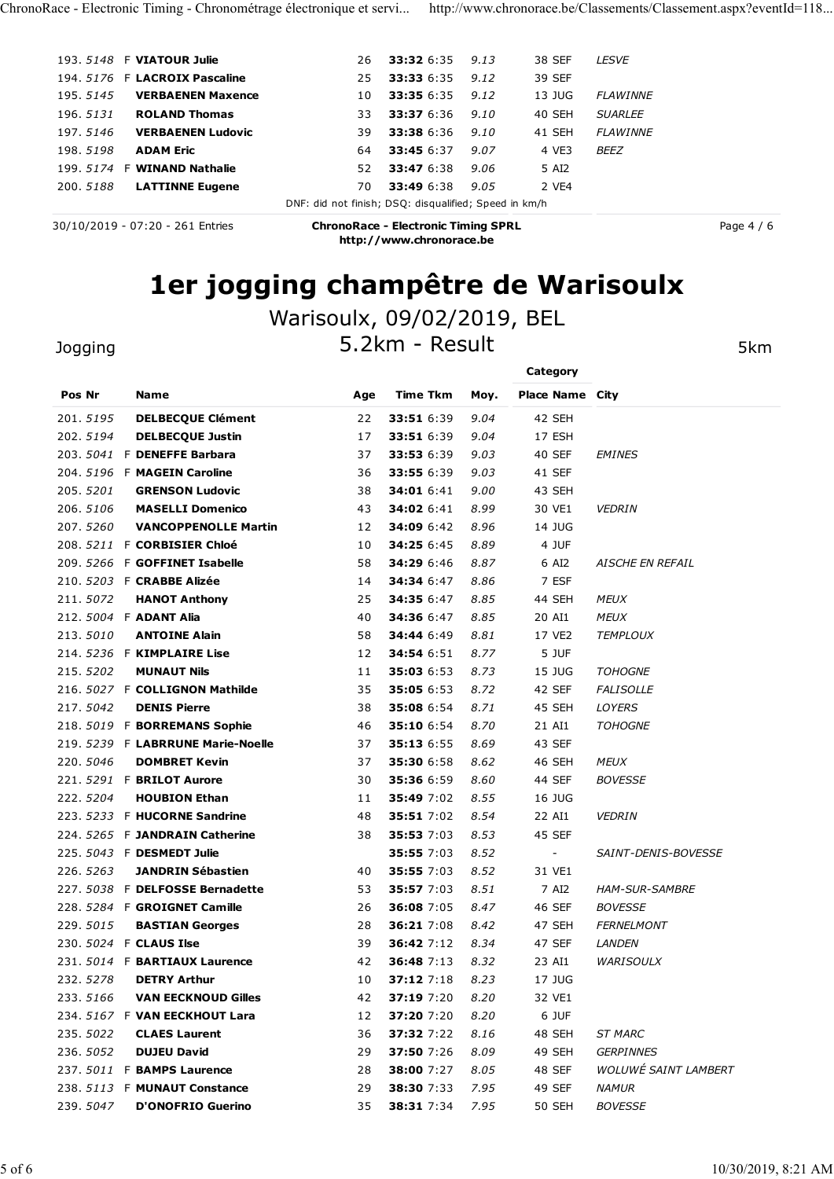| ChronoRace - Electronic Timing - Chronométrage électronique et servi http://www.chronorace.be/Classements/Classement.aspx?eventId=118 |                                                       |                                                                        |              |                        |                 |            |
|---------------------------------------------------------------------------------------------------------------------------------------|-------------------------------------------------------|------------------------------------------------------------------------|--------------|------------------------|-----------------|------------|
|                                                                                                                                       |                                                       |                                                                        |              |                        |                 |            |
| 193. 5148 F VIATOUR Julie                                                                                                             | 26                                                    | 33:32 6:35                                                             | 9.13         | 38 SEF                 | <b>LESVE</b>    |            |
| 194. 5176 F LACROIX Pascaline                                                                                                         | 25                                                    | 33:33 6:35                                                             | 9.12         | 39 SEF                 |                 |            |
| 195.5145<br><b>VERBAENEN Maxence</b>                                                                                                  | 10                                                    | 33:35 6:35                                                             | 9.12         | 13 JUG                 | <b>FLAWINNE</b> |            |
| 196.5131<br><b>ROLAND Thomas</b>                                                                                                      | 33                                                    | 33:37 6:36                                                             | 9.10         | 40 SEH                 | <b>SUARLEE</b>  |            |
| 197.5146<br><b>VERBAENEN Ludovic</b>                                                                                                  | 39                                                    | 33:38 6:36                                                             | 9.10         | 41 SEH                 | <b>FLAWINNE</b> |            |
| 198.5198<br><b>ADAM Eric</b>                                                                                                          | 64                                                    | 33:45 6:37                                                             | 9.07         | 4 VE3                  | BEEZ            |            |
| 199. 5174 F WINAND Nathalie                                                                                                           | 52                                                    | 33:47 6:38                                                             | 9.06         | 5 AI2                  |                 |            |
| 200.5188<br><b>LATTINNE Eugene</b>                                                                                                    | 70                                                    | 33:49 6:38                                                             | 9.05         | 2 VE4                  |                 |            |
|                                                                                                                                       | DNF: did not finish; DSQ: disqualified; Speed in km/h |                                                                        |              |                        |                 |            |
| 30/10/2019 - 07:20 - 261 Entries                                                                                                      |                                                       | <b>ChronoRace - Electronic Timing SPRL</b><br>http://www.chronorace.be |              |                        |                 | Page 4 / 6 |
|                                                                                                                                       |                                                       |                                                                        |              |                        |                 |            |
|                                                                                                                                       | 1er jogging champêtre de Warisoulx                    |                                                                        |              |                        |                 |            |
|                                                                                                                                       |                                                       |                                                                        |              |                        |                 |            |
|                                                                                                                                       | Warisoulx, 09/02/2019, BEL                            |                                                                        |              |                        |                 |            |
| Jogging                                                                                                                               |                                                       | 5.2km - Result                                                         |              |                        |                 | 5km        |
|                                                                                                                                       |                                                       |                                                                        |              | Category               |                 |            |
| Pos Nr<br>Name                                                                                                                        | Age                                                   | <b>Time Tkm</b>                                                        | Moy.         | <b>Place Name City</b> |                 |            |
| <b>DELBECQUE Clément</b><br>201.5195                                                                                                  | 22                                                    | 33:51 6:39                                                             | 9.04         | 42 SEH                 |                 |            |
| 202.5194<br><b>DELBECQUE Justin</b>                                                                                                   | 17                                                    | 33:51 6:39                                                             | 9.04         | 17 ESH                 |                 |            |
| 203. 5041 F DENEFFE Barbara                                                                                                           | 37                                                    | 33:53 6:39                                                             | 9.03         | 40 SEF                 | <b>EMINES</b>   |            |
| 204. 5196 F MAGEIN Caroline                                                                                                           | 36                                                    | 33:55 6:39                                                             | 9.03         | 41 SEF                 |                 |            |
| 205.5201<br><b>GRENSON Ludovic</b><br>206.5106<br><b>MASELLI Domenico</b>                                                             | 38<br>43                                              | 34:01 6:41<br>34:02 6:41                                               | 9.00<br>8.99 | 43 SEH<br>30 VE1       | <b>VEDRIN</b>   |            |

# 1er jogging champêtre de Warisoulx

## Warisoulx, 09/02/2019, BEL

| 195. 5 <i>145</i> |                                    |                                                       |                                                                        |      |                        |                             |
|-------------------|------------------------------------|-------------------------------------------------------|------------------------------------------------------------------------|------|------------------------|-----------------------------|
|                   | <b>VERBAENEN Maxence</b>           | 10                                                    | 33:35 6:35                                                             | 9.12 | 13 JUG                 | <b>FLAWINNE</b>             |
| 196. 5 <i>131</i> | <b>ROLAND Thomas</b>               | 33                                                    | 33:37 6:36                                                             | 9.10 | 40 SEH                 | <b>SUARLEE</b>              |
| 197.5146          | <b>VERBAENEN Ludovic</b>           | 39                                                    | 33:38 6:36                                                             | 9.10 | 41 SEH                 | <b>FLAWINNE</b>             |
| 198.5198          | <b>ADAM Eric</b>                   | 64                                                    | 33:45 6:37                                                             | 9.07 | 4 VE3                  | <b>BEEZ</b>                 |
|                   | 199. 5174 F WINAND Nathalie        | 52                                                    | 33:47 6:38                                                             | 9.06 | 5 AI2                  |                             |
| 200.5188          | <b>LATTINNE Eugene</b>             | 70                                                    | 33:49 6:38                                                             | 9.05 | 2 VE4                  |                             |
|                   |                                    | DNF: did not finish; DSQ: disqualified; Speed in km/h |                                                                        |      |                        |                             |
|                   | 30/10/2019 - 07:20 - 261 Entries   |                                                       | <b>ChronoRace - Electronic Timing SPRL</b><br>http://www.chronorace.be |      |                        | Page 4 / 6                  |
|                   |                                    |                                                       |                                                                        |      |                        |                             |
|                   | 1er jogging champêtre de Warisoulx |                                                       |                                                                        |      |                        |                             |
|                   |                                    | Warisoulx, 09/02/2019, BEL                            |                                                                        |      |                        |                             |
| Jogging           |                                    |                                                       | 5.2km - Result                                                         |      |                        | 5km                         |
|                   |                                    |                                                       |                                                                        |      | Category               |                             |
| Pos Nr            | Name                               | Age                                                   | Time Tkm                                                               | Moy. | <b>Place Name City</b> |                             |
| 201.5195          | <b>DELBECQUE Clément</b>           | 22                                                    | 33:51 6:39                                                             | 9.04 | 42 SEH                 |                             |
| 202.5194          | <b>DELBECOUE Justin</b>            | 17                                                    | 33:51 6:39                                                             | 9.04 | 17 ESH                 |                             |
|                   | 203. 5041 F DENEFFE Barbara        | 37                                                    | 33:53 6:39                                                             | 9.03 | 40 SEF                 | <b>EMINES</b>               |
|                   | 204. 5196 F MAGEIN Caroline        | 36                                                    | 33:55 6:39                                                             | 9.03 | 41 SEF                 |                             |
| 205.5201          | <b>GRENSON Ludovic</b>             | 38                                                    | <b>34:01</b> 6:41                                                      | 9.00 | 43 SEH                 |                             |
| 206.5106          | <b>MASELLI Domenico</b>            | 43                                                    | 34:02 6:41                                                             | 8.99 | 30 VE1                 | <b>VEDRIN</b>               |
| 207.5260          | <b>VANCOPPENOLLE Martin</b>        | 12                                                    | <b>34:09 6:42</b>                                                      | 8.96 | 14 JUG                 |                             |
|                   | 208. 5211 F CORBISIER Chloé        | 10                                                    | 34:25 6:45                                                             | 8.89 | 4 JUF                  |                             |
|                   | 209. 5266 F GOFFINET Isabelle      | 58                                                    | <b>34:29 6:46</b>                                                      | 8.87 | 6 AI2                  | AISCHE EN REFAIL            |
|                   | 210. 5203 F CRABBE Alizée          | 14                                                    | 34:34 6:47                                                             | 8.86 | 7 ESF                  |                             |
| 211.5072          | <b>HANOT Anthony</b>               | 25                                                    | 34:35 6:47                                                             | 8.85 | 44 SEH                 | <b>MEUX</b>                 |
|                   | 212. 5004 F ADANT Alia             | 40                                                    | 34:36 6:47                                                             | 8.85 | 20 AI1                 | <b>MEUX</b>                 |
| 213.5010          | <b>ANTOINE Alain</b>               | 58                                                    | 34:44 6:49                                                             | 8.81 | 17 VE2                 | <b>TEMPLOUX</b>             |
|                   | 214. 5236 F KIMPLAIRE Lise         | 12                                                    | 34:54 6:51                                                             | 8.77 | 5 JUF                  |                             |
| 215.5202          | <b>MUNAUT Nils</b>                 | 11                                                    | <b>35:03</b> 6:53                                                      | 8.73 | 15 JUG                 | <b>TOHOGNE</b>              |
|                   | 216. 5027 F COLLIGNON Mathilde     | 35                                                    | 35:05 6:53                                                             | 8.72 | 42 SEF                 | <b>FALISOLLE</b>            |
| 217.5042          | <b>DENIS Pierre</b>                | 38                                                    | <b>35:08</b> 6:54                                                      | 8.71 | 45 SEH                 | LOYERS                      |
|                   | 218. 5019 F BORREMANS Sophie       | 46                                                    | <b>35:10 6:54</b>                                                      | 8.70 | 21 AI1                 | <b>TOHOGNE</b>              |
|                   | 219. 5239 F LABRRUNE Marie-Noelle  | 37                                                    | 35:13 6:55                                                             | 8.69 | 43 SEF                 |                             |
| 220.5046          | <b>DOMBRET Kevin</b>               | 37                                                    | 35:30 6:58                                                             | 8.62 | 46 SEH                 | <b>MEUX</b>                 |
|                   | 221. 5291 F BRILOT Aurore          | 30                                                    | 35:36 6:59                                                             | 8.60 | 44 SEF                 | <b>BOVESSE</b>              |
| 222.5204          | <b>HOUBION Ethan</b>               | 11                                                    | 35:49 7:02                                                             | 8.55 | 16 JUG                 |                             |
|                   | 223. 5233 F HUCORNE Sandrine       | 48                                                    | 35:51 7:02                                                             | 8.54 | 22 AI1                 | <i>VEDRIN</i>               |
|                   | 224. 5265 F JANDRAIN Catherine     | 38                                                    | 35:53 7:03                                                             | 8.53 | 45 SEF                 |                             |
|                   | 225. 5043 F DESMEDT Julie          |                                                       | 35:55 7:03                                                             | 8.52 | $\sim$                 | SAINT-DENIS-BOVESSE         |
| 226.5263          | <b>JANDRIN Sébastien</b>           |                                                       | 35:55 7:03                                                             | 8.52 |                        |                             |
|                   |                                    | 40                                                    |                                                                        |      | 31 VE1                 |                             |
|                   | 227. 5038 F DELFOSSE Bernadette    | 53                                                    | 35:57 7:03                                                             | 8.51 | 7 AI2                  | HAM-SUR-SAMBRE              |
|                   | 228. 5284 F GROIGNET Camille       | 26                                                    | 36:08 7:05                                                             | 8.47 | 46 SEF                 | <b>BOVESSE</b>              |
| 229.5015          | <b>BASTIAN Georges</b>             | 28                                                    | 36:21 7:08                                                             | 8.42 | 47 SEH                 | <b>FERNELMONT</b>           |
|                   | 230. 5024 F CLAUS Ilse             | 39                                                    | 36:42 7:12                                                             | 8.34 | 47 SEF                 | <b>LANDEN</b>               |
|                   | 231. 5014 F BARTIAUX Laurence      | 42                                                    | 36:48 7:13                                                             | 8.32 | 23 AI1                 | <b>WARISOULX</b>            |
| 232.5278          | <b>DETRY Arthur</b>                | 10                                                    | 37:12 7:18                                                             | 8.23 | 17 JUG                 |                             |
| 233.5166          | <b>VAN EECKNOUD Gilles</b>         | 42                                                    | 37:19 7:20                                                             | 8.20 | 32 VE1                 |                             |
|                   | 234. 5167 F VAN EECKHOUT Lara      | 12                                                    | 37:20 7:20                                                             | 8.20 | 6 JUF                  |                             |
| 235.5022          | <b>CLAES Laurent</b>               | 36                                                    | 37:32 7:22                                                             | 8.16 | 48 SEH                 | <b>ST MARC</b>              |
| 236.5052          | <b>DUJEU David</b>                 | 29                                                    | 37:50 7:26                                                             | 8.09 | 49 SEH                 | <b>GERPINNES</b>            |
|                   | 237. 5011 F BAMPS Laurence         | 28                                                    | 38:00 7:27                                                             | 8.05 | 48 SEF                 | <b>WOLUWÉ SAINT LAMBERT</b> |
|                   | 238. 5113 F MUNAUT Constance       | 29                                                    | 38:30 7:33                                                             | 7.95 | 49 SEF                 | <b>NAMUR</b>                |
|                   | <b>D'ONOFRIO Guerino</b>           | 35                                                    | 38:31 7:34 7.95                                                        |      | <b>50 SEH</b>          | <b>BOVESSE</b>              |